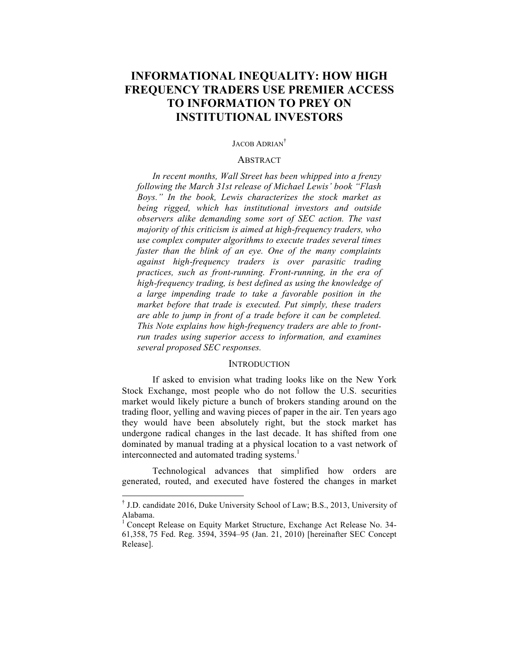# **INFORMATIONAL INEQUALITY: HOW HIGH FREQUENCY TRADERS USE PREMIER ACCESS TO INFORMATION TO PREY ON INSTITUTIONAL INVESTORS**

#### JACOB ADRIAN†

### **ABSTRACT**

*In recent months, Wall Street has been whipped into a frenzy following the March 31st release of Michael Lewis' book "Flash Boys." In the book, Lewis characterizes the stock market as being rigged, which has institutional investors and outside observers alike demanding some sort of SEC action. The vast majority of this criticism is aimed at high-frequency traders, who use complex computer algorithms to execute trades several times faster than the blink of an eye. One of the many complaints against high-frequency traders is over parasitic trading practices, such as front-running. Front-running, in the era of high-frequency trading, is best defined as using the knowledge of a large impending trade to take a favorable position in the market before that trade is executed. Put simply, these traders are able to jump in front of a trade before it can be completed. This Note explains how high-frequency traders are able to frontrun trades using superior access to information, and examines several proposed SEC responses.* 

### **INTRODUCTION**

If asked to envision what trading looks like on the New York Stock Exchange, most people who do not follow the U.S. securities market would likely picture a bunch of brokers standing around on the trading floor, yelling and waving pieces of paper in the air. Ten years ago they would have been absolutely right, but the stock market has undergone radical changes in the last decade. It has shifted from one dominated by manual trading at a physical location to a vast network of interconnected and automated trading systems.<sup>1</sup>

Technological advances that simplified how orders are generated, routed, and executed have fostered the changes in market

 <sup>†</sup> J.D. candidate 2016, Duke University School of Law; B.S., 2013, University of Alabama.

<sup>&</sup>lt;sup>1</sup> Concept Release on Equity Market Structure, Exchange Act Release No. 34-61,358, 75 Fed. Reg. 3594, 3594–95 (Jan. 21, 2010) [hereinafter SEC Concept Release].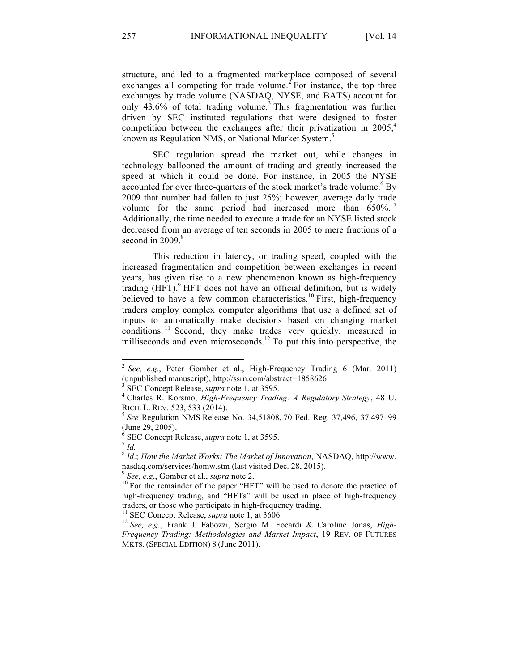structure, and led to a fragmented marketplace composed of several exchanges all competing for trade volume.<sup>2</sup> For instance, the top three exchanges by trade volume (NASDAQ, NYSE, and BATS) account for only  $43.6\%$  of total trading volume.<sup>3</sup> This fragmentation was further driven by SEC instituted regulations that were designed to foster competition between the exchanges after their privatization in 2005,<sup>4</sup> known as Regulation NMS, or National Market System.<sup>5</sup>

SEC regulation spread the market out, while changes in technology ballooned the amount of trading and greatly increased the speed at which it could be done. For instance, in 2005 the NYSE accounted for over three-quarters of the stock market's trade volume.<sup>6</sup> By 2009 that number had fallen to just 25%; however, average daily trade volume for the same period had increased more than 650%. Additionally, the time needed to execute a trade for an NYSE listed stock decreased from an average of ten seconds in 2005 to mere fractions of a second in  $2009$ .<sup>8</sup>

This reduction in latency, or trading speed, coupled with the increased fragmentation and competition between exchanges in recent years, has given rise to a new phenomenon known as high-frequency trading  $(HFT)$ . HFT does not have an official definition, but is widely believed to have a few common characteristics.<sup>10</sup> First, high-frequency traders employ complex computer algorithms that use a defined set of inputs to automatically make decisions based on changing market conditions.<sup>11</sup> Second, they make trades very quickly, measured in milliseconds and even microseconds.<sup>12</sup> To put this into perspective, the

 <sup>2</sup> *See, e.g.*, Peter Gomber et al., High-Frequency Trading 6 (Mar. 2011) (unpublished manuscript), http://ssrn.com/abstract=1858626. <sup>3</sup> SEC Concept Release, *supra* note 1, at 3595. <sup>4</sup> Charles R. Korsmo, *High-Frequency Trading: A Regulatory Strategy*, 48 U.

RICH. L. REV. 523, 533 (2014). <sup>5</sup> *See* Regulation NMS Release No. 34,51808, 70 Fed. Reg. 37,496, 37,497–99

<sup>(</sup>June 29, 2005).

 $^{6}$  SEC Concept Release, *supra* note 1, at 3595.<br> $^{7}$  *Id.* 

<sup>8</sup> *Id*.; *How the Market Works: The Market of Innovation*, NASDAQ, http://www. nasdaq.com/services/homw.stm (last visited Dec. 28, 2015).<br><sup>9</sup> *See, e.g.*, Gomber et al., *supra* note 2.<br><sup>10</sup> For the remainder of the paper "HFT" will be used to denote the practice of

high-frequency trading, and "HFTs" will be used in place of high-frequency traders, or those who participate in high-frequency trading.<br><sup>11</sup> SEC Concept Release, *supra* note 1, at 3606.<br><sup>12</sup> *See, e.g.*, Frank J. Fabozzi, Sergio M. Focardi & Caroline Jonas, *High*-

*Frequency Trading: Methodologies and Market Impact*, 19 REV. OF FUTURES MKTS. (SPECIAL EDITION) 8 (June 2011).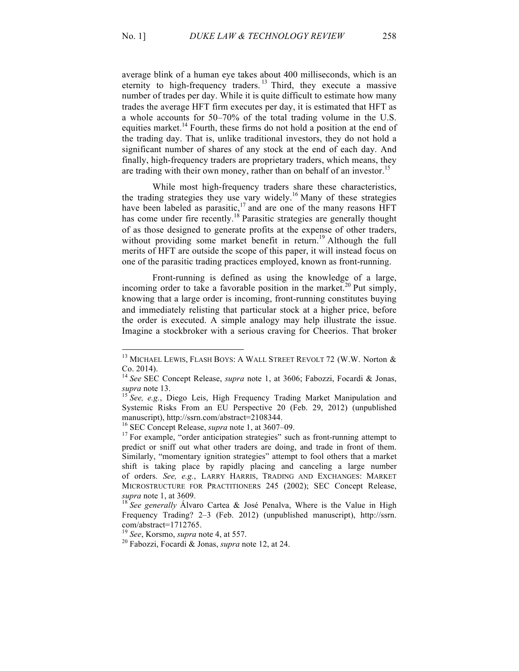average blink of a human eye takes about 400 milliseconds, which is an eternity to high-frequency traders.<sup>13</sup> Third, they execute a massive number of trades per day. While it is quite difficult to estimate how many trades the average HFT firm executes per day, it is estimated that HFT as a whole accounts for 50–70% of the total trading volume in the U.S. equities market.<sup>14</sup> Fourth, these firms do not hold a position at the end of the trading day. That is, unlike traditional investors, they do not hold a significant number of shares of any stock at the end of each day. And finally, high-frequency traders are proprietary traders, which means, they are trading with their own money, rather than on behalf of an investor.<sup>15</sup>

While most high-frequency traders share these characteristics, the trading strategies they use vary widely.<sup>16</sup> Many of these strategies have been labeled as parasitic,<sup>17</sup> and are one of the many reasons HFT has come under fire recently.<sup>18</sup> Parasitic strategies are generally thought of as those designed to generate profits at the expense of other traders, without providing some market benefit in return.<sup>19</sup> Although the full merits of HFT are outside the scope of this paper, it will instead focus on one of the parasitic trading practices employed, known as front-running.

Front-running is defined as using the knowledge of a large, incoming order to take a favorable position in the market.<sup>20</sup> Put simply, knowing that a large order is incoming, front-running constitutes buying and immediately relisting that particular stock at a higher price, before the order is executed. A simple analogy may help illustrate the issue. Imagine a stockbroker with a serious craving for Cheerios. That broker

 $^{13}$  MICHAEL LEWIS, FLASH BOYS: A WALL STREET REVOLT 72 (W.W. Norton  $\&$ Co. 2014).

<sup>14</sup> *See* SEC Concept Release, *supra* note 1, at 3606; Fabozzi, Focardi & Jonas, *supra* note 13. <sup>15</sup> *See, e.g.*, Diego Leis, High Frequency Trading Market Manipulation and

Systemic Risks From an EU Perspective 20 (Feb. 29, 2012) (unpublished manuscript), http://ssrn.com/abstract=2108344.<br><sup>16</sup> SEC Concept Release, *supra* note 1, at 3607–09.

<sup>&</sup>lt;sup>17</sup> For example, "order anticipation strategies" such as front-running attempt to predict or sniff out what other traders are doing, and trade in front of them. Similarly, "momentary ignition strategies" attempt to fool others that a market shift is taking place by rapidly placing and canceling a large number of orders. *See, e.g.*, LARRY HARRIS, TRADING AND EXCHANGES: MARKET MICROSTRUCTURE FOR PRACTITIONERS 245 (2002); SEC Concept Release, *supra* note 1, at 3609.<br><sup>18</sup> *See generally* Álvaro Cartea & José Penalya, Where is the Value in High

Frequency Trading? 2–3 (Feb. 2012) (unpublished manuscript), http://ssrn. com/abstract=1712765.<br> $^{19}$  See, Korsmo, *supra* note 4, at 557.

<sup>&</sup>lt;sup>20</sup> Fabozzi, Focardi & Jonas, *supra* note 12, at 24.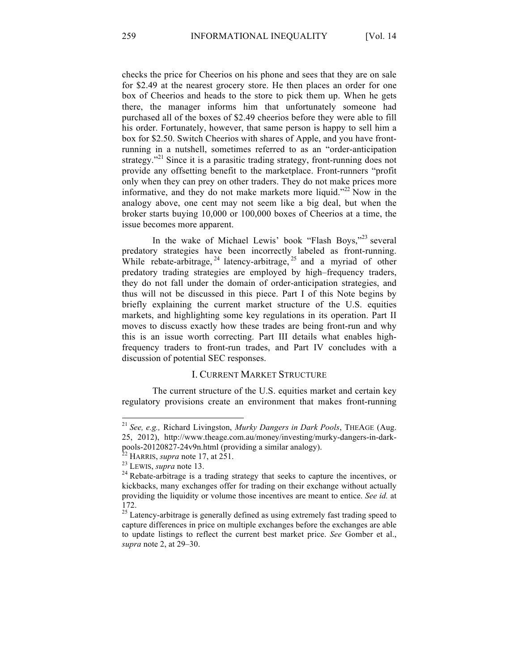checks the price for Cheerios on his phone and sees that they are on sale for \$2.49 at the nearest grocery store. He then places an order for one box of Cheerios and heads to the store to pick them up. When he gets there, the manager informs him that unfortunately someone had purchased all of the boxes of \$2.49 cheerios before they were able to fill his order. Fortunately, however, that same person is happy to sell him a box for \$2.50. Switch Cheerios with shares of Apple, and you have frontrunning in a nutshell, sometimes referred to as an "order-anticipation strategy."<sup>21</sup> Since it is a parasitic trading strategy, front-running does not provide any offsetting benefit to the marketplace. Front-runners "profit only when they can prey on other traders. They do not make prices more informative, and they do not make markets more liquid."<sup>22</sup> Now in the analogy above, one cent may not seem like a big deal, but when the broker starts buying 10,000 or 100,000 boxes of Cheerios at a time, the issue becomes more apparent.

In the wake of Michael Lewis' book "Flash Boys,"<sup>23</sup> several predatory strategies have been incorrectly labeled as front-running. While rebate-arbitrage,  $24$  latency-arbitrage,  $25$  and a myriad of other predatory trading strategies are employed by high–frequency traders, they do not fall under the domain of order-anticipation strategies, and thus will not be discussed in this piece. Part I of this Note begins by briefly explaining the current market structure of the U.S. equities markets, and highlighting some key regulations in its operation. Part II moves to discuss exactly how these trades are being front-run and why this is an issue worth correcting. Part III details what enables highfrequency traders to front-run trades, and Part IV concludes with a discussion of potential SEC responses.

# I. CURRENT MARKET STRUCTURE

The current structure of the U.S. equities market and certain key regulatory provisions create an environment that makes front-running

 <sup>21</sup> *See, e.g.,* Richard Livingston, *Murky Dangers in Dark Pools*, THEAGE (Aug. 25, 2012), http://www.theage.com.au/money/investing/murky-dangers-in-dark-<br>pools-20120827-24v9n.html (providing a similar analogy).

<sup>&</sup>lt;sup>22</sup> HARRIS, *supra* note 17, at 251.<br><sup>23</sup> LEWIS, *supra* note 13. <sup>24</sup> Rebate-arbitrage is a trading strategy that seeks to capture the incentives, or kickbacks, many exchanges offer for trading on their exchange without actually providing the liquidity or volume those incentives are meant to entice. *See id.* at 172.

<sup>&</sup>lt;sup>25</sup> Latency-arbitrage is generally defined as using extremely fast trading speed to capture differences in price on multiple exchanges before the exchanges are able to update listings to reflect the current best market price. *See* Gomber et al., *supra* note 2, at 29–30.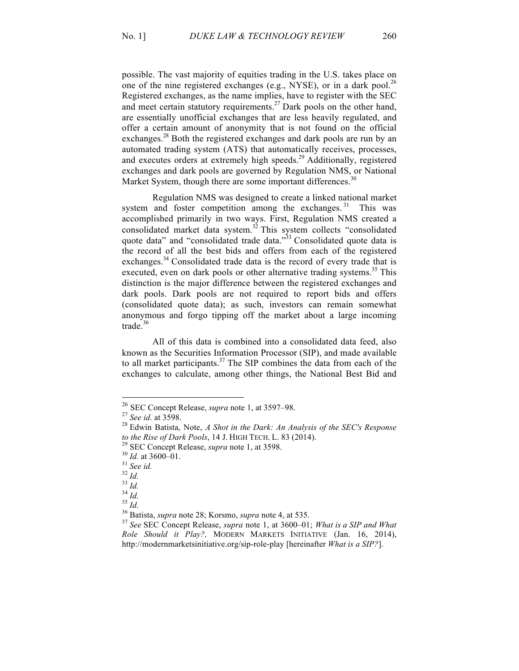possible. The vast majority of equities trading in the U.S. takes place on one of the nine registered exchanges (e.g., NYSE), or in a dark pool.<sup>26</sup> Registered exchanges, as the name implies, have to register with the SEC and meet certain statutory requirements.<sup>27</sup> Dark pools on the other hand, are essentially unofficial exchanges that are less heavily regulated, and offer a certain amount of anonymity that is not found on the official exchanges.<sup>28</sup> Both the registered exchanges and dark pools are run by an automated trading system (ATS) that automatically receives, processes, and executes orders at extremely high speeds.<sup>29</sup> Additionally, registered exchanges and dark pools are governed by Regulation NMS, or National Market System, though there are some important differences.<sup>30</sup>

Regulation NMS was designed to create a linked national market system and foster competition among the exchanges. <sup>31</sup> This was accomplished primarily in two ways. First, Regulation NMS created a consolidated market data system.<sup>32</sup> This system collects "consolidated quote data" and "consolidated trade data."<sup>33</sup> Consolidated quote data is the record of all the best bids and offers from each of the registered exchanges.<sup>34</sup> Consolidated trade data is the record of every trade that is executed, even on dark pools or other alternative trading systems.<sup>35</sup> This distinction is the major difference between the registered exchanges and dark pools. Dark pools are not required to report bids and offers (consolidated quote data); as such, investors can remain somewhat anonymous and forgo tipping off the market about a large incoming trade. $36$ 

All of this data is combined into a consolidated data feed, also known as the Securities Information Processor (SIP), and made available to all market participants.<sup>37</sup> The SIP combines the data from each of the exchanges to calculate, among other things, the National Best Bid and

<sup>26</sup> SEC Concept Release, *supra* note 1, at 3597–98. <sup>27</sup> *See id.* at 3598. <sup>28</sup> Edwin Batista, Note, *A Shot in the Dark: An Analysis of the SEC's Response*  to the Rise of Dark Pools, 14 J. HIGH TECH. L. 83 (2014).<br><sup>29</sup> SEC Concept Release, *supra* note 1, at 3598.<br><sup>30</sup> Id. at 3600–01.<br><sup>31</sup> See id.<br><sup>32</sup> Id.<br><sup>33</sup> Id.<br><sup>34</sup> Id.<br><sup>35</sup> See SEC Concept Release, *supra* note 4, at 535

*Role Should it Play?,* MODERN MARKETS INITIATIVE (Jan. 16, 2014), http://modernmarketsinitiative.org/sip-role-play [hereinafter *What is a SIP?*].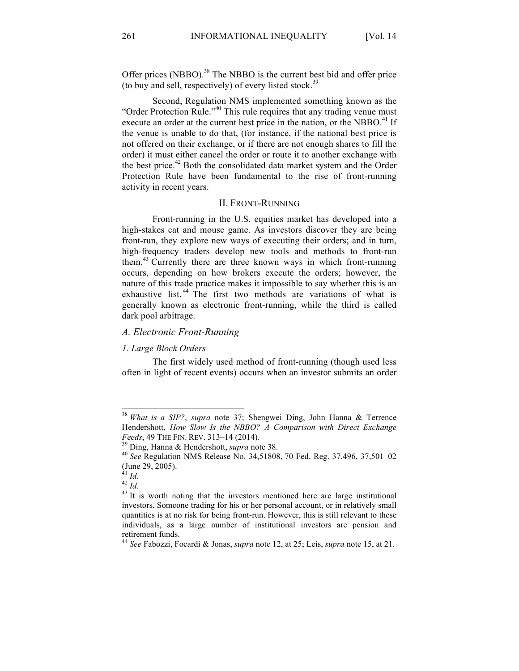Offer prices (NBBO).<sup>38</sup> The NBBO is the current best bid and offer price (to buy and sell, respectively) of every listed stock.<sup>39</sup>

Second, Regulation NMS implemented something known as the "Order Protection Rule."<sup>40</sup> This rule requires that any trading venue must execute an order at the current best price in the nation, or the NBBO.<sup>41</sup> If the venue is unable to do that, (for instance, if the national best price is not offered on their exchange, or if there are not enough shares to fill the order) it must either cancel the order or route it to another exchange with the best price.<sup>42</sup> Both the consolidated data market system and the Order Protection Rule have been fundamental to the rise of front-running activity in recent years.

#### II. FRONT-RUNNING

Front-running in the U.S. equities market has developed into a high-stakes cat and mouse game. As investors discover they are being front-run, they explore new ways of executing their orders; and in turn, high-frequency traders develop new tools and methods to front-run them.<sup>43</sup> Currently there are three known ways in which front-running occurs, depending on how brokers execute the orders; however, the nature of this trade practice makes it impossible to say whether this is an exhaustive list.<sup>44</sup> The first two methods are variations of what is generally known as electronic front-running, while the third is called dark pool arbitrage.

# *A. Electronic Front-Running*

### *1. Large Block Orders*

The first widely used method of front-running (though used less often in light of recent events) occurs when an investor submits an order

 <sup>38</sup> *What is a SIP?*, *supra* note 37; Shengwei Ding, John Hanna & Terrence Hendershott, *How Slow Is the NBBO? A Comparison with Direct Exchange Feeds*, 49 THE FIN. REV. 313–14 (2014).<br><sup>39</sup> Ding, Hanna & Hendershott, *supra* note 38.<br><sup>40</sup> *See* Regulation NMS Release No. 34,51808, 70 Fed. Reg. 37,496, 37,501–02

<sup>(</sup>June 29, 2005).<br> $^{41}$  *Id.* 

 $^{42}$  *Id.*  $^{43}$  It is worth noting that the investors mentioned here are large institutional investors. Someone trading for his or her personal account, or in relatively small quantities is at no risk for being front-run. However, this is still relevant to these individuals, as a large number of institutional investors are pension and retirement funds.

<sup>44</sup> *See* Fabozzi, Focardi & Jonas, *supra* note 12, at 25; Leis, *supra* note 15, at 21.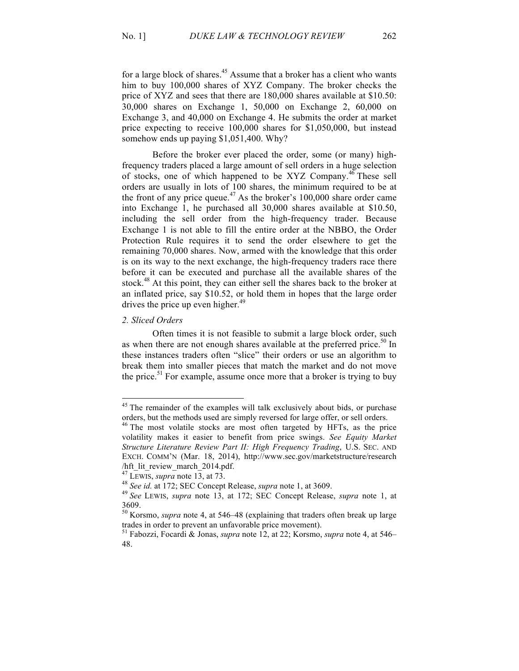for a large block of shares.<sup>45</sup> Assume that a broker has a client who wants him to buy 100,000 shares of XYZ Company. The broker checks the price of XYZ and sees that there are 180,000 shares available at \$10.50: 30,000 shares on Exchange 1, 50,000 on Exchange 2, 60,000 on Exchange 3, and 40,000 on Exchange 4. He submits the order at market price expecting to receive 100,000 shares for \$1,050,000, but instead somehow ends up paying \$1,051,400. Why?

Before the broker ever placed the order, some (or many) highfrequency traders placed a large amount of sell orders in a huge selection of stocks, one of which happened to be XYZ Company.<sup>46</sup> These sell orders are usually in lots of 100 shares, the minimum required to be at the front of any price queue.<sup>47</sup> As the broker's 100,000 share order came into Exchange 1, he purchased all 30,000 shares available at \$10.50, including the sell order from the high-frequency trader. Because Exchange 1 is not able to fill the entire order at the NBBO, the Order Protection Rule requires it to send the order elsewhere to get the remaining 70,000 shares. Now, armed with the knowledge that this order is on its way to the next exchange, the high-frequency traders race there before it can be executed and purchase all the available shares of the stock.<sup>48</sup> At this point, they can either sell the shares back to the broker at an inflated price, say \$10.52, or hold them in hopes that the large order drives the price up even higher. $49$ 

## *2. Sliced Orders*

Often times it is not feasible to submit a large block order, such as when there are not enough shares available at the preferred price.<sup>50</sup> In these instances traders often "slice" their orders or use an algorithm to break them into smaller pieces that match the market and do not move the price.<sup>51</sup> For example, assume once more that a broker is trying to buy

<sup>&</sup>lt;sup>45</sup> The remainder of the examples will talk exclusively about bids, or purchase orders, but the methods used are simply reversed for large offer, or sell orders.

<sup>&</sup>lt;sup>46</sup> The most volatile stocks are most often targeted by HFTs, as the price volatility makes it easier to benefit from price swings. *See Equity Market Structure Literature Review Part II: High Frequency Trading*, U.S. SEC. AND EXCH. COMM'N (Mar. 18, 2014), http://www.sec.gov/marketstructure/research hft\_lit\_review\_march\_2014.pdf.<br><sup>47</sup> LEWIS, *supra* note 13, at 73.<br><sup>48</sup> See id. at 172; SEC Concept Release, *supra* note 1, at 3609.<br><sup>49</sup> See LEWIS, *supra* note 13, at 172; SEC Concept Release, *supra* note 1, at

<sup>3609.</sup>

<sup>50</sup> Korsmo, *supra* note 4, at 546–48 (explaining that traders often break up large trades in order to prevent an unfavorable price movement).

<sup>51</sup> Fabozzi, Focardi & Jonas, *supra* note 12, at 22; Korsmo, *supra* note 4, at 546– 48.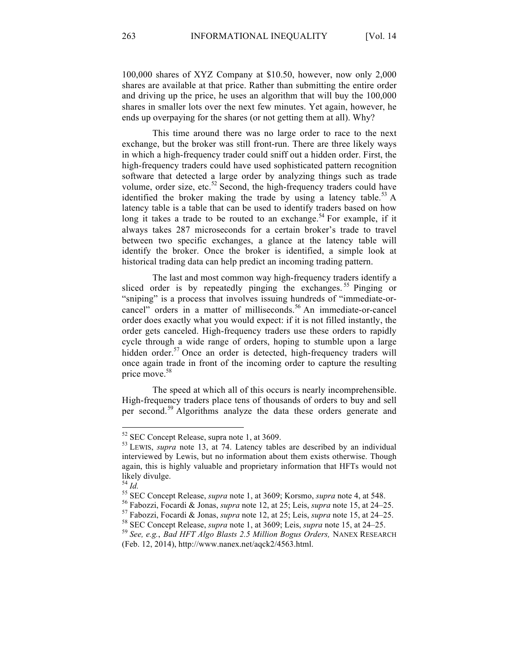100,000 shares of XYZ Company at \$10.50, however, now only 2,000 shares are available at that price. Rather than submitting the entire order and driving up the price, he uses an algorithm that will buy the 100,000 shares in smaller lots over the next few minutes. Yet again, however, he ends up overpaying for the shares (or not getting them at all). Why?

This time around there was no large order to race to the next exchange, but the broker was still front-run. There are three likely ways in which a high-frequency trader could sniff out a hidden order. First, the high-frequency traders could have used sophisticated pattern recognition software that detected a large order by analyzing things such as trade volume, order size, etc. $52$  Second, the high-frequency traders could have identified the broker making the trade by using a latency table.<sup>53</sup> A latency table is a table that can be used to identify traders based on how long it takes a trade to be routed to an exchange.<sup>54</sup> For example, if it always takes 287 microseconds for a certain broker's trade to travel between two specific exchanges, a glance at the latency table will identify the broker. Once the broker is identified, a simple look at historical trading data can help predict an incoming trading pattern.

The last and most common way high-frequency traders identify a sliced order is by repeatedly pinging the exchanges.<sup>55</sup> Pinging or "sniping" is a process that involves issuing hundreds of "immediate-orcancel" orders in a matter of milliseconds.<sup>56</sup> An immediate-or-cancel order does exactly what you would expect: if it is not filled instantly, the order gets canceled. High-frequency traders use these orders to rapidly cycle through a wide range of orders, hoping to stumble upon a large hidden order. $57$  Once an order is detected, high-frequency traders will once again trade in front of the incoming order to capture the resulting price move.<sup>58</sup>

The speed at which all of this occurs is nearly incomprehensible. High-frequency traders place tens of thousands of orders to buy and sell per second.<sup>59</sup> Algorithms analyze the data these orders generate and

<sup>&</sup>lt;sup>52</sup> SEC Concept Release, supra note 1, at 3609.<br><sup>53</sup> LEWIS, *supra* note 13, at 74. Latency tables are described by an individual interviewed by Lewis, but no information about them exists otherwise. Though again, this is highly valuable and proprietary information that HFTs would not likely divulge.<br> $^{54}$  *Id.* 

<sup>&</sup>lt;sup>55</sup> SEC Concept Release, *supra* note 1, at 3609; Korsmo, *supra* note 4, at 548.<br><sup>56</sup> Fabozzi, Focardi & Jonas, *supra* note 12, at 25; Leis, *supra* note 15, at 24–25.<br><sup>57</sup> Fabozzi, Focardi & Jonas, *supra* note 12, at

<sup>(</sup>Feb. 12, 2014), http://www.nanex.net/aqck2/4563.html.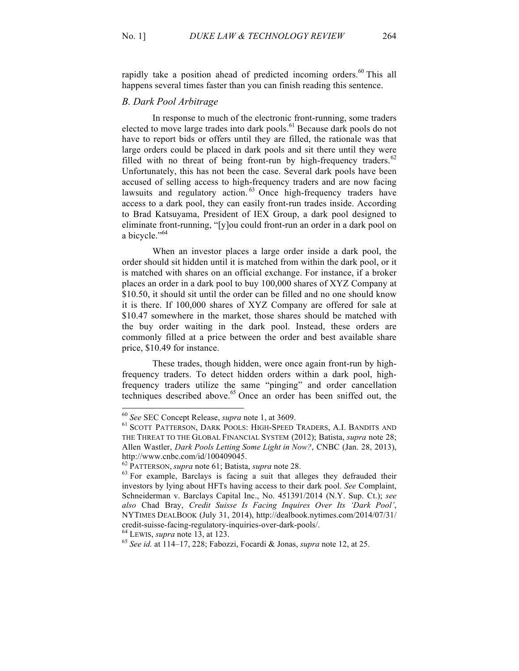rapidly take a position ahead of predicted incoming orders.<sup>60</sup> This all happens several times faster than you can finish reading this sentence.

# *B. Dark Pool Arbitrage*

In response to much of the electronic front-running, some traders elected to move large trades into dark pools.<sup>61</sup> Because dark pools do not have to report bids or offers until they are filled, the rationale was that large orders could be placed in dark pools and sit there until they were filled with no threat of being front-run by high-frequency traders. $62$ Unfortunately, this has not been the case. Several dark pools have been accused of selling access to high-frequency traders and are now facing lawsuits and regulatory action. <sup>63</sup> Once high-frequency traders have access to a dark pool, they can easily front-run trades inside. According to Brad Katsuyama, President of IEX Group, a dark pool designed to eliminate front-running, "[y]ou could front-run an order in a dark pool on a bicycle."<sup>64</sup>

When an investor places a large order inside a dark pool, the order should sit hidden until it is matched from within the dark pool, or it is matched with shares on an official exchange. For instance, if a broker places an order in a dark pool to buy 100,000 shares of XYZ Company at \$10.50, it should sit until the order can be filled and no one should know it is there. If 100,000 shares of XYZ Company are offered for sale at \$10.47 somewhere in the market, those shares should be matched with the buy order waiting in the dark pool. Instead, these orders are commonly filled at a price between the order and best available share price, \$10.49 for instance.

These trades, though hidden, were once again front-run by highfrequency traders. To detect hidden orders within a dark pool, highfrequency traders utilize the same "pinging" and order cancellation techniques described above. <sup>65</sup> Once an order has been sniffed out, the

<sup>&</sup>lt;sup>60</sup> See SEC Concept Release, *supra* note 1, at 3609.<br><sup>61</sup> SCOTT PATTERSON, DARK POOLS: HIGH-SPEED TRADERS, A.I. BANDITS AND THE THREAT TO THE GLOBAL FINANCIAL SYSTEM (2012); Batista, *supra* note 28; Allen Wastler, *Dark Pools Letting Some Light in Now?*, CNBC (Jan. 28, 2013), http://www.cnbc.com/id/100409045.<br><sup>62</sup> PATTERSON, *supra* note 61; Batista, *supra* note 28.<br><sup>63</sup> For example, Barclays is facing a suit that alleges they defrauded their

investors by lying about HFTs having access to their dark pool. *See* Complaint, Schneiderman v. Barclays Capital Inc., No. 451391/2014 (N.Y. Sup. Ct.); *see also* Chad Bray, *Credit Suisse Is Facing Inquires Over Its 'Dark Pool'*, NYTIMES DEALBOOK (July 31, 2014), http://dealbook.nytimes.com/2014/07/31/ credit-suisse-facing-regulatory-inquiries-over-dark-pools/. <sup>64</sup> LEWIS, *supra* note 13, at 123. 65 *See id.* at 114–17, 228; Fabozzi, Focardi & Jonas, *supra* note 12, at 25.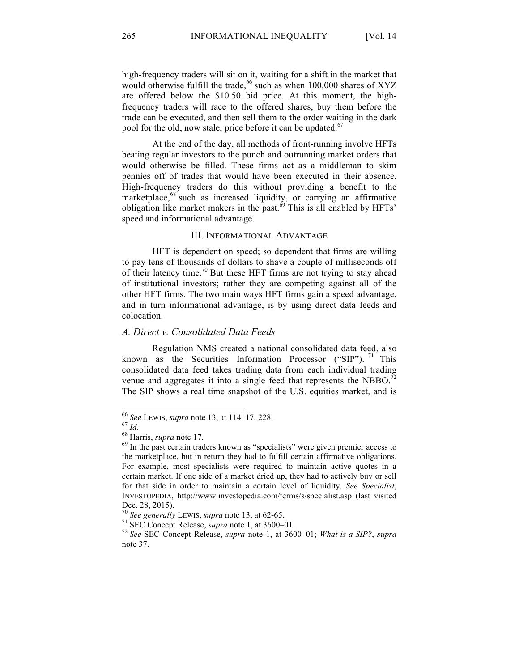high-frequency traders will sit on it, waiting for a shift in the market that would otherwise fulfill the trade,<sup>66</sup> such as when 100,000 shares of XYZ are offered below the \$10.50 bid price. At this moment, the highfrequency traders will race to the offered shares, buy them before the trade can be executed, and then sell them to the order waiting in the dark pool for the old, now stale, price before it can be updated.<sup>67</sup>

At the end of the day, all methods of front-running involve HFTs beating regular investors to the punch and outrunning market orders that would otherwise be filled. These firms act as a middleman to skim pennies off of trades that would have been executed in their absence. High-frequency traders do this without providing a benefit to the marketplace,<sup>68</sup> such as increased liquidity, or carrying an affirmative obligation like market makers in the past.<sup> $69$ </sup> This is all enabled by HFTs' speed and informational advantage.

### III. INFORMATIONAL ADVANTAGE

HFT is dependent on speed; so dependent that firms are willing to pay tens of thousands of dollars to shave a couple of milliseconds off of their latency time.<sup>70</sup> But these HFT firms are not trying to stay ahead of institutional investors; rather they are competing against all of the other HFT firms. The two main ways HFT firms gain a speed advantage, and in turn informational advantage, is by using direct data feeds and colocation.

# *A. Direct v. Consolidated Data Feeds*

Regulation NMS created a national consolidated data feed, also known as the Securities Information Processor ("SIP").  $^{71}$  This consolidated data feed takes trading data from each individual trading venue and aggregates it into a single feed that represents the NBBO.<sup>72</sup> The SIP shows a real time snapshot of the U.S. equities market, and is

<sup>&</sup>lt;sup>66</sup> *See* LEWIS, *supra* note 13, at 114–17, 228.<br><sup>67</sup> *Id.* 68 Harris, *supra* note 17.<br><sup>69</sup> In the past certain traders known as "specialists" were given premier access to the marketplace, but in return they had to fulfill certain affirmative obligations. For example, most specialists were required to maintain active quotes in a certain market. If one side of a market dried up, they had to actively buy or sell for that side in order to maintain a certain level of liquidity. *See Specialist*, INVESTOPEDIA, http://www.investopedia.com/terms/s/specialist.asp (last visited Dec. 28, 2015).<br><sup>70</sup> See generally LEWIS, supra note 13, at 62-65.

<sup>&</sup>lt;sup>71</sup> SEC Concept Release, *supra* note 1, at 3600–01. *What is a SIP?*, *supra* <sup>72</sup> *See* SEC Concept Release, *supra* note 1, at 3600–01; *What is a SIP?*, *supra* note 37.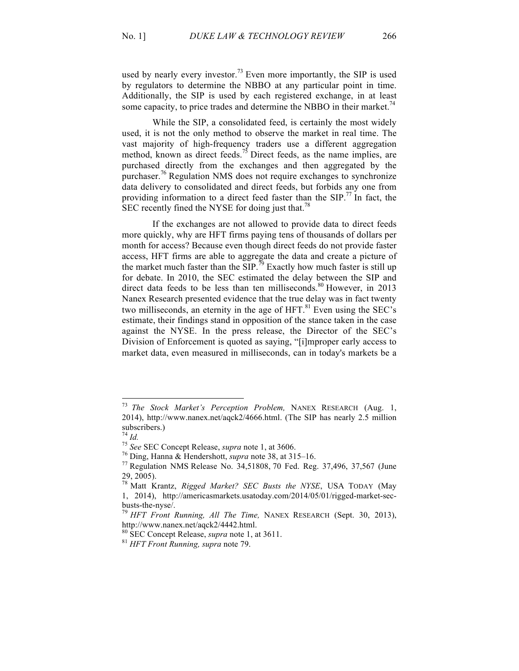used by nearly every investor.<sup>73</sup> Even more importantly, the SIP is used by regulators to determine the NBBO at any particular point in time. Additionally, the SIP is used by each registered exchange, in at least some capacity, to price trades and determine the NBBO in their market.<sup>74</sup>

While the SIP, a consolidated feed, is certainly the most widely used, it is not the only method to observe the market in real time. The vast majority of high-frequency traders use a different aggregation method, known as direct feeds.<sup>75</sup> Direct feeds, as the name implies, are purchased directly from the exchanges and then aggregated by the purchaser.<sup>76</sup> Regulation NMS does not require exchanges to synchronize data delivery to consolidated and direct feeds, but forbids any one from providing information to a direct feed faster than the  $SIP$ .<sup>77</sup> In fact, the SEC recently fined the NYSE for doing just that.<sup>78</sup>

If the exchanges are not allowed to provide data to direct feeds more quickly, why are HFT firms paying tens of thousands of dollars per month for access? Because even though direct feeds do not provide faster access, HFT firms are able to aggregate the data and create a picture of the market much faster than the SIP.<sup>79</sup> Exactly how much faster is still up for debate. In 2010, the SEC estimated the delay between the SIP and direct data feeds to be less than ten milliseconds.<sup>80</sup> However, in 2013 Nanex Research presented evidence that the true delay was in fact twenty two milliseconds, an eternity in the age of  $HFT$ .<sup>81</sup> Even using the SEC's estimate, their findings stand in opposition of the stance taken in the case against the NYSE. In the press release, the Director of the SEC's Division of Enforcement is quoted as saying, "[i]mproper early access to market data, even measured in milliseconds, can in today's markets be a

 <sup>73</sup> *The Stock Market's Perception Problem,* NANEX RESEARCH (Aug. 1, 2014), http://www.nanex.net/aqck2/4666.html. (The SIP has nearly 2.5 million subscribers.)<br> $^{74}$  *Id.* 

<sup>&</sup>lt;sup>75</sup> *See* SEC Concept Release, *supra* note 1, at 3606.<br><sup>76</sup> Ding, Hanna & Hendershott, *supra* note 38, at 315–16.<br><sup>77</sup> Regulation NMS Release No. 34,51808, 70 Fed. Reg. 37,496, 37,567 (June 29, 2005).

<sup>78</sup> Matt Krantz, *Rigged Market? SEC Busts the NYSE*, USA TODAY (May 1, 2014), http://americasmarkets.usatoday.com/2014/05/01/rigged-market-secbusts-the-nyse/. <sup>79</sup> *HFT Front Running, All The Time,* NANEX RESEARCH (Sept. 30, 2013),

http://www.nanex.net/aqck2/4442.html. <sup>80</sup> SEC Concept Release, *supra* note 1, at 3611. 81 *HFT Front Running, supra* note 79.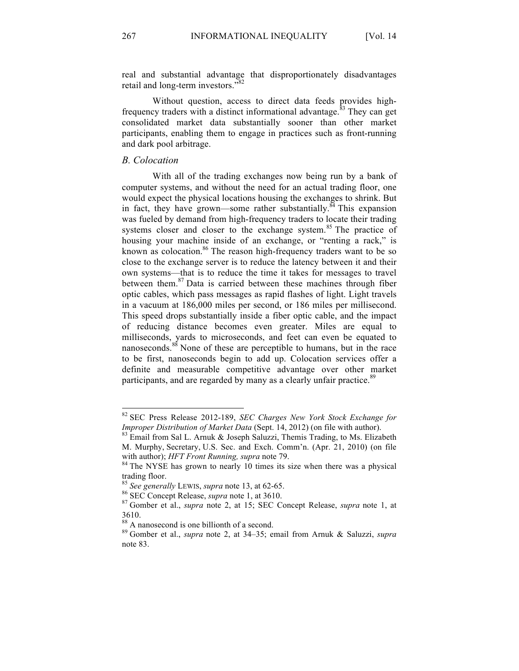real and substantial advantage that disproportionately disadvantages retail and long-term investors."<sup>82</sup>

Without question, access to direct data feeds provides highfrequency traders with a distinct informational advantage.<sup>83</sup> They can get consolidated market data substantially sooner than other market participants, enabling them to engage in practices such as front-running and dark pool arbitrage.

# *B. Colocation*

With all of the trading exchanges now being run by a bank of computer systems, and without the need for an actual trading floor, one would expect the physical locations housing the exchanges to shrink. But in fact, they have grown—some rather substantially. $84$  This expansion was fueled by demand from high-frequency traders to locate their trading systems closer and closer to the exchange system.<sup>85</sup> The practice of housing your machine inside of an exchange, or "renting a rack," is known as colocation.<sup>86</sup> The reason high-frequency traders want to be so close to the exchange server is to reduce the latency between it and their own systems—that is to reduce the time it takes for messages to travel between them.<sup>87</sup> Data is carried between these machines through fiber optic cables, which pass messages as rapid flashes of light. Light travels in a vacuum at 186,000 miles per second, or 186 miles per millisecond. This speed drops substantially inside a fiber optic cable, and the impact of reducing distance becomes even greater. Miles are equal to milliseconds, yards to microseconds, and feet can even be equated to nanoseconds.<sup>88</sup> None of these are perceptible to humans, but in the race to be first, nanoseconds begin to add up. Colocation services offer a definite and measurable competitive advantage over other market participants, and are regarded by many as a clearly unfair practice.<sup>89</sup>

 <sup>82</sup> SEC Press Release 2012-189, *SEC Charges New York Stock Exchange for Improper Distribution of Market Data* (Sept. 14, 2012) (on file with author).<br><sup>83</sup> Email from Sal L. Arnuk & Joseph Saluzzi, Themis Trading, to Ms. Elizabeth

M. Murphy, Secretary, U.S. Sec. and Exch. Comm'n. (Apr. 21, 2010) (on file with author); *HFT Front Running, supra* note 79.<br><sup>84</sup> The NYSE has grown to nearly 10 times its size when there was a physical

trading floor.<br><sup>85</sup> See generally LEWIS, supra note 13, at 62-65.

<sup>&</sup>lt;sup>86</sup> SEC Concept Release, *supra* note 1, at 3610.<br><sup>87</sup> Gomber et al., *supra* note 2, at 15; SEC Concept Release, *supra* note 1, at 3610.

<sup>88</sup> A nanosecond is one billionth of a second. 89 Gomber et al., *supra* note 2, at 34–35; email from Arnuk & Saluzzi, *supra* note 83.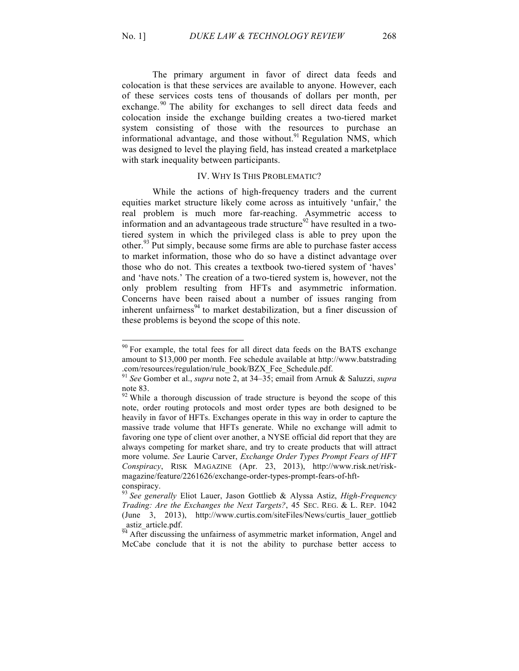The primary argument in favor of direct data feeds and colocation is that these services are available to anyone. However, each of these services costs tens of thousands of dollars per month, per exchange.<sup>90</sup> The ability for exchanges to sell direct data feeds and colocation inside the exchange building creates a two-tiered market system consisting of those with the resources to purchase an informational advantage, and those without.<sup>91</sup> Regulation NMS, which was designed to level the playing field, has instead created a marketplace with stark inequality between participants.

#### IV. WHY IS THIS PROBLEMATIC?

While the actions of high-frequency traders and the current equities market structure likely come across as intuitively 'unfair,' the real problem is much more far-reaching. Asymmetric access to information and an advantageous trade structure<sup>92</sup> have resulted in a twotiered system in which the privileged class is able to prey upon the other.<sup>93</sup> Put simply, because some firms are able to purchase faster access to market information, those who do so have a distinct advantage over those who do not. This creates a textbook two-tiered system of 'haves' and 'have nots.' The creation of a two-tiered system is, however, not the only problem resulting from HFTs and asymmetric information. Concerns have been raised about a number of issues ranging from inherent unfairness $94$  to market destabilization, but a finer discussion of these problems is beyond the scope of this note.

<sup>&</sup>lt;sup>90</sup> For example, the total fees for all direct data feeds on the BATS exchange amount to \$13,000 per month. Fee schedule available at http://www.batstrading .com/resources/regulation/rule\_book/BZX\_Fee\_Schedule.pdf.

<sup>91</sup> *See* Gomber et al., *supra* note 2, at 34–35; email from Arnuk & Saluzzi, *supra* note 83.<br><sup>92</sup> While a thorough discussion of trade structure is beyond the scope of this

note, order routing protocols and most order types are both designed to be heavily in favor of HFTs. Exchanges operate in this way in order to capture the massive trade volume that HFTs generate. While no exchange will admit to favoring one type of client over another, a NYSE official did report that they are always competing for market share, and try to create products that will attract more volume. *See* Laurie Carver, *Exchange Order Types Prompt Fears of HFT Conspiracy*, RISK MAGAZINE (Apr. 23, 2013), http://www.risk.net/riskmagazine/feature/2261626/exchange-order-types-prompt-fears-of-hftconspiracy.

<sup>93</sup> *See generally* Eliot Lauer, Jason Gottlieb & Alyssa Astiz, *High-Frequency Trading: Are the Exchanges the Next Targets?*, 45 SEC. REG. & L. REP. 1042 (June 3, 2013), http://www.curtis.com/siteFiles/News/curtis\_lauer\_gottlieb astiz article.pdf.

 $\overline{94}$  After discussing the unfairness of asymmetric market information, Angel and McCabe conclude that it is not the ability to purchase better access to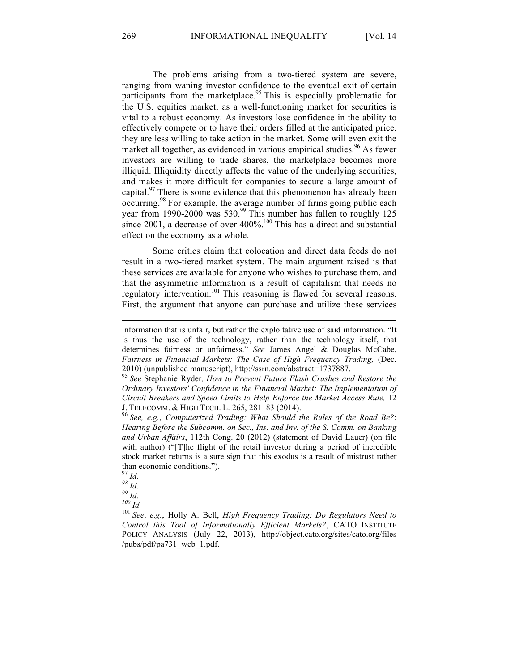The problems arising from a two-tiered system are severe, ranging from waning investor confidence to the eventual exit of certain participants from the marketplace.<sup>95</sup> This is especially problematic for the U.S. equities market, as a well-functioning market for securities is vital to a robust economy. As investors lose confidence in the ability to effectively compete or to have their orders filled at the anticipated price, they are less willing to take action in the market. Some will even exit the market all together, as evidenced in various empirical studies.<sup>96</sup> As fewer investors are willing to trade shares, the marketplace becomes more illiquid. Illiquidity directly affects the value of the underlying securities, and makes it more difficult for companies to secure a large amount of capital.<sup>97</sup> There is some evidence that this phenomenon has already been occurring.<sup>98</sup> For example, the average number of firms going public each year from 1990-2000 was 530.<sup>99</sup> This number has fallen to roughly 125 since 2001, a decrease of over  $400\%$ <sup>100</sup> This has a direct and substantial effect on the economy as a whole.

Some critics claim that colocation and direct data feeds do not result in a two-tiered market system. The main argument raised is that these services are available for anyone who wishes to purchase them, and that the asymmetric information is a result of capitalism that needs no regulatory intervention.<sup>101</sup> This reasoning is flawed for several reasons. First, the argument that anyone can purchase and utilize these services

l

information that is unfair, but rather the exploitative use of said information. "It is thus the use of the technology, rather than the technology itself, that determines fairness or unfairness." *See* James Angel & Douglas McCabe, *Fairness in Financial Markets: The Case of High Frequency Trading,* (Dec. 2010) (unpublished manuscript), http://ssrn.com/abstract=1737887.

<sup>95</sup> *See* Stephanie Ryder*, How to Prevent Future Flash Crashes and Restore the Ordinary Investors' Confidence in the Financial Market: The Implementation of Circuit Breakers and Speed Limits to Help Enforce the Market Access Rule,* 12 J. TELECOMM. & HIGH TECH. L. 265, 281–83 (2014). <sup>96</sup> *See, e.g.*, *Computerized Trading: What Should the Rules of the Road Be?*:

*Hearing Before the Subcomm. on Sec., Ins. and Inv. of the S. Comm. on Banking and Urban Affairs*, 112th Cong. 20 (2012) (statement of David Lauer) (on file with author) ("The flight of the retail investor during a period of incredible stock market returns is a sure sign that this exodus is a result of mistrust rather than economic conditions.").<br> $\frac{97}{1}$ *Id.* 

<sup>97</sup> *Id. 98 Id. 99 Id. 100 Id.* <sup>101</sup> *See*, *e.g.*, Holly A. Bell, *High Frequency Trading: Do Regulators Need to Control this Tool of Informationally Efficient Markets?*, CATO INSTITUTE POLICY ANALYSIS (July 22, 2013), http://object.cato.org/sites/cato.org/files /pubs/pdf/pa731\_web\_1.pdf.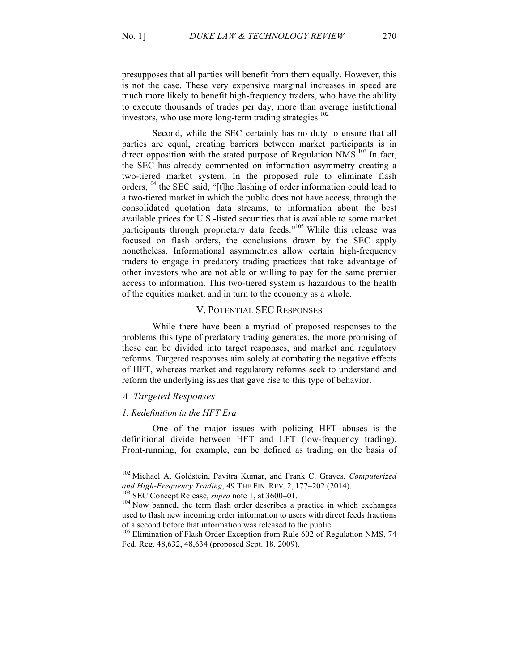presupposes that all parties will benefit from them equally. However, this is not the case. These very expensive marginal increases in speed are much more likely to benefit high-frequency traders, who have the ability to execute thousands of trades per day, more than average institutional investors, who use more long-term trading strategies. 102

Second, while the SEC certainly has no duty to ensure that all parties are equal, creating barriers between market participants is in direct opposition with the stated purpose of Regulation  $NMS$ <sup>103</sup> In fact, the SEC has already commented on information asymmetry creating a two-tiered market system. In the proposed rule to eliminate flash orders,<sup>104</sup> the SEC said, "[t]he flashing of order information could lead to a two-tiered market in which the public does not have access, through the consolidated quotation data streams, to information about the best available prices for U.S.-listed securities that is available to some market participants through proprietary data feeds."<sup>105</sup> While this release was focused on flash orders, the conclusions drawn by the SEC apply nonetheless. Informational asymmetries allow certain high-frequency traders to engage in predatory trading practices that take advantage of other investors who are not able or willing to pay for the same premier access to information. This two-tiered system is hazardous to the health of the equities market, and in turn to the economy as a whole.

# V. POTENTIAL SEC RESPONSES

While there have been a myriad of proposed responses to the problems this type of predatory trading generates, the more promising of these can be divided into target responses, and market and regulatory reforms. Targeted responses aim solely at combating the negative effects of HFT, whereas market and regulatory reforms seek to understand and reform the underlying issues that gave rise to this type of behavior.

# *A. Targeted Responses*

#### *1. Redefinition in the HFT Era*

One of the major issues with policing HFT abuses is the definitional divide between HFT and LFT (low-frequency trading). Front-running, for example, can be defined as trading on the basis of

 <sup>102</sup> Michael A. Goldstein, Pavitra Kumar, and Frank C. Graves, *Computerized and High-Frequency Trading*, 49 THE FIN. REV. 2, 177–202 (2014).<br><sup>103</sup> SEC Concept Release, *supra* note 1, at 3600–01.<br><sup>104</sup> Now banned, the term flash order describes a practice in which exchanges

used to flash new incoming order information to users with direct feeds fractions of a second before that information was released to the public.

<sup>&</sup>lt;sup>105</sup> Elimination of Flash Order Exception from Rule 602 of Regulation NMS, 74 Fed. Reg. 48,632, 48,634 (proposed Sept. 18, 2009).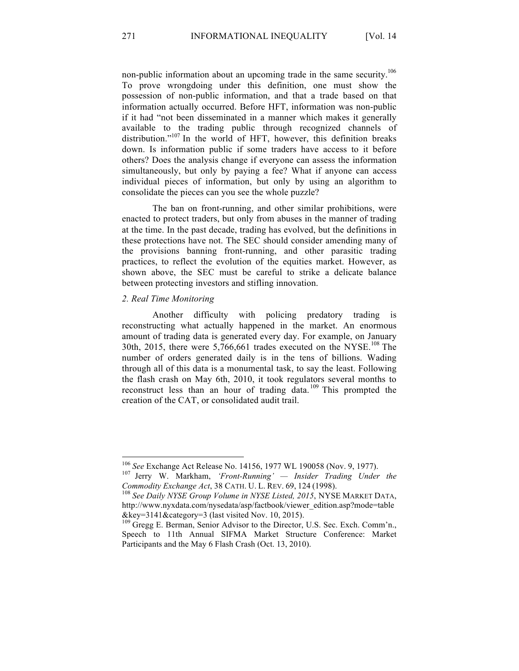non-public information about an upcoming trade in the same security.106 To prove wrongdoing under this definition, one must show the possession of non-public information, and that a trade based on that information actually occurred. Before HFT, information was non-public if it had "not been disseminated in a manner which makes it generally available to the trading public through recognized channels of distribution."<sup>107</sup> In the world of HFT, however, this definition breaks down. Is information public if some traders have access to it before others? Does the analysis change if everyone can assess the information simultaneously, but only by paying a fee? What if anyone can access individual pieces of information, but only by using an algorithm to consolidate the pieces can you see the whole puzzle?

The ban on front-running, and other similar prohibitions, were enacted to protect traders, but only from abuses in the manner of trading at the time. In the past decade, trading has evolved, but the definitions in these protections have not. The SEC should consider amending many of the provisions banning front-running, and other parasitic trading practices, to reflect the evolution of the equities market. However, as shown above, the SEC must be careful to strike a delicate balance between protecting investors and stifling innovation.

### *2. Real Time Monitoring*

Another difficulty with policing predatory trading is reconstructing what actually happened in the market. An enormous amount of trading data is generated every day. For example, on January 30th, 2015, there were 5,766,661 trades executed on the NYSE.<sup>108</sup> The number of orders generated daily is in the tens of billions. Wading through all of this data is a monumental task, to say the least. Following the flash crash on May 6th, 2010, it took regulators several months to reconstruct less than an hour of trading data.<sup>109</sup> This prompted the creation of the CAT, or consolidated audit trail.

<sup>&</sup>lt;sup>106</sup> *See* Exchange Act Release No. 14156, 1977 WL 190058 (Nov. 9, 1977).<br><sup>107</sup> Jerry W. Markham, *'Front-Running' — Insider Trading Under the* 

*Commodity Exchange Act*, 38 CATH. U. L. REV. 69, 124 (1998).<br><sup>108</sup> *See Daily NYSE Group Volume in NYSE Listed, 2015*, NYSE MARKET DATA,

http://www.nyxdata.com/nysedata/asp/factbook/viewer\_edition.asp?mode=table &key=3141&category=3 (last visited Nov. 10, 2015). <sup>109</sup> Gregg E. Berman, Senior Advisor to the Director, U.S. Sec. Exch. Comm'n.,

Speech to 11th Annual SIFMA Market Structure Conference: Market Participants and the May 6 Flash Crash (Oct. 13, 2010).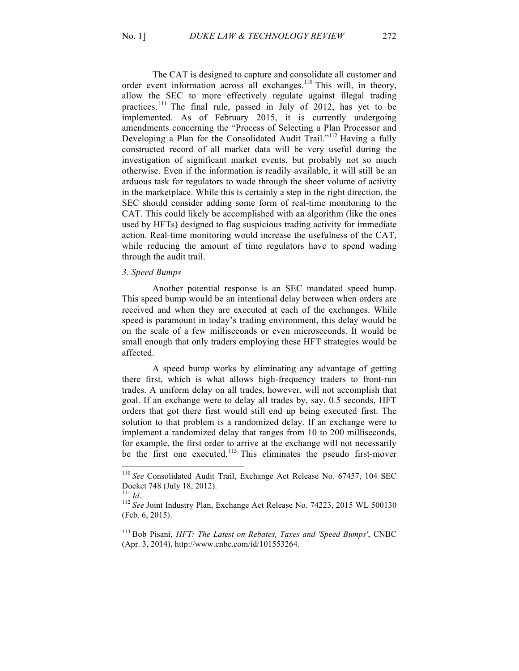The CAT is designed to capture and consolidate all customer and order event information across all exchanges.<sup>110</sup> This will, in theory, allow the SEC to more effectively regulate against illegal trading practices.<sup>111</sup> The final rule, passed in July of 2012, has yet to be implemented. As of February 2015, it is currently undergoing amendments concerning the "Process of Selecting a Plan Processor and Developing a Plan for the Consolidated Audit Trail."<sup>112</sup> Having a fully constructed record of all market data will be very useful during the investigation of significant market events, but probably not so much otherwise. Even if the information is readily available, it will still be an arduous task for regulators to wade through the sheer volume of activity in the marketplace. While this is certainly a step in the right direction, the SEC should consider adding some form of real-time monitoring to the CAT. This could likely be accomplished with an algorithm (like the ones used by HFTs) designed to flag suspicious trading activity for immediate action. Real-time monitoring would increase the usefulness of the CAT, while reducing the amount of time regulators have to spend wading through the audit trail.

# *3. Speed Bumps*

Another potential response is an SEC mandated speed bump. This speed bump would be an intentional delay between when orders are received and when they are executed at each of the exchanges. While speed is paramount in today's trading environment, this delay would be on the scale of a few milliseconds or even microseconds. It would be small enough that only traders employing these HFT strategies would be affected.

A speed bump works by eliminating any advantage of getting there first, which is what allows high-frequency traders to front-run trades. A uniform delay on all trades, however, will not accomplish that goal. If an exchange were to delay all trades by, say, 0.5 seconds, HFT orders that got there first would still end up being executed first. The solution to that problem is a randomized delay. If an exchange were to implement a randomized delay that ranges from 10 to 200 milliseconds, for example, the first order to arrive at the exchange will not necessarily be the first one executed.<sup>113</sup> This eliminates the pseudo first-mover

<sup>113</sup> Bob Pisani, *HFT: The Latest on Rebates, Taxes and 'Speed Bumps'*, CNBC (Apr. 3, 2014), http://www.cnbc.com/id/101553264.

 <sup>110</sup> *See* Consolidated Audit Trail, Exchange Act Release No. 67457, 104 SEC Docket 748 (July 18, 2012).<br><sup>111</sup> *Id* 

<sup>&</sup>lt;sup>112</sup> See Joint Industry Plan, Exchange Act Release No. 74223, 2015 WL 500130 (Feb. 6, 2015).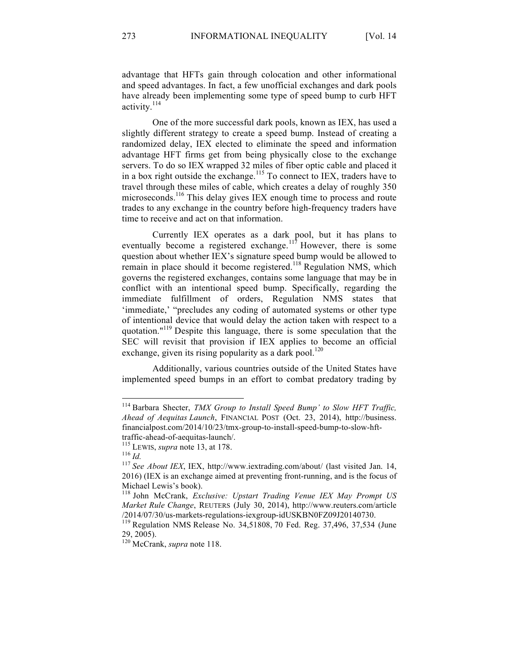advantage that HFTs gain through colocation and other informational and speed advantages. In fact, a few unofficial exchanges and dark pools have already been implementing some type of speed bump to curb HFT activity.<sup>114</sup>

One of the more successful dark pools, known as IEX, has used a slightly different strategy to create a speed bump. Instead of creating a randomized delay, IEX elected to eliminate the speed and information advantage HFT firms get from being physically close to the exchange servers. To do so IEX wrapped 32 miles of fiber optic cable and placed it in a box right outside the exchange.<sup>115</sup> To connect to IEX, traders have to travel through these miles of cable, which creates a delay of roughly 350 microseconds.<sup>116</sup> This delay gives IEX enough time to process and route trades to any exchange in the country before high-frequency traders have time to receive and act on that information.

Currently IEX operates as a dark pool, but it has plans to eventually become a registered exchange.<sup>117</sup> However, there is some question about whether IEX's signature speed bump would be allowed to remain in place should it become registered.<sup>118</sup> Regulation NMS, which governs the registered exchanges, contains some language that may be in conflict with an intentional speed bump. Specifically, regarding the immediate fulfillment of orders, Regulation NMS states that 'immediate,' "precludes any coding of automated systems or other type of intentional device that would delay the action taken with respect to a quotation."<sup>119</sup> Despite this language, there is some speculation that the SEC will revisit that provision if IEX applies to become an official exchange, given its rising popularity as a dark pool.<sup>120</sup>

Additionally, various countries outside of the United States have implemented speed bumps in an effort to combat predatory trading by

 <sup>114</sup> Barbara Shecter, *TMX Group to Install Speed Bump' to Slow HFT Traffic, Ahead of Aequitas Launch*, FINANCIAL POST (Oct. 23, 2014), http://business. financialpost.com/2014/10/23/tmx-group-to-install-speed-bump-to-slow-hft-

traffic-ahead-of-aequitas-launch/.<br><sup>115</sup> LEWIS, *supra* note 13, at 178.<br><sup>116</sup> *Id.* <sup>117</sup> *See About IEX*, IEX, http://www.iextrading.com/about/ (last visited Jan. 14, <sup>117</sup> *See About IEX*, IEX, http://www.iextrading.com 2016) (IEX is an exchange aimed at preventing front-running, and is the focus of Michael Lewis's book).

<sup>118</sup> John McCrank, *Exclusive: Upstart Trading Venue IEX May Prompt US Market Rule Change*, REUTERS (July 30, 2014), http://www.reuters.com/article /2014/07/30/us-markets-regulations-iexgroup-idUSKBN0FZ09J20140730. <sup>119</sup> Regulation NMS Release No. 34,51808, 70 Fed. Reg. 37,496, 37,534 (June

<sup>29, 2005).</sup>

<sup>120</sup> McCrank, *supra* note 118.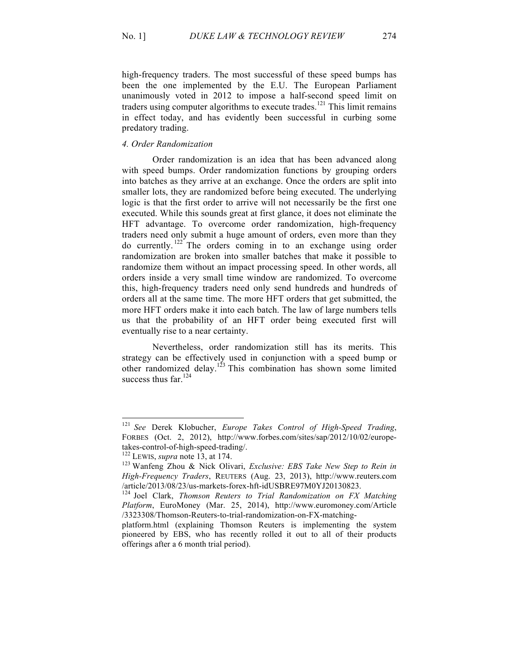high-frequency traders. The most successful of these speed bumps has been the one implemented by the E.U. The European Parliament unanimously voted in 2012 to impose a half-second speed limit on traders using computer algorithms to execute trades.<sup>121</sup> This limit remains in effect today, and has evidently been successful in curbing some predatory trading.

### *4. Order Randomization*

Order randomization is an idea that has been advanced along with speed bumps. Order randomization functions by grouping orders into batches as they arrive at an exchange. Once the orders are split into smaller lots, they are randomized before being executed. The underlying logic is that the first order to arrive will not necessarily be the first one executed. While this sounds great at first glance, it does not eliminate the HFT advantage. To overcome order randomization, high-frequency traders need only submit a huge amount of orders, even more than they do currently. <sup>122</sup> The orders coming in to an exchange using order randomization are broken into smaller batches that make it possible to randomize them without an impact processing speed. In other words, all orders inside a very small time window are randomized. To overcome this, high-frequency traders need only send hundreds and hundreds of orders all at the same time. The more HFT orders that get submitted, the more HFT orders make it into each batch. The law of large numbers tells us that the probability of an HFT order being executed first will eventually rise to a near certainty.

Nevertheless, order randomization still has its merits. This strategy can be effectively used in conjunction with a speed bump or other randomized delay.<sup>123</sup> This combination has shown some limited success thus  $far<sup>124</sup>$ 

 <sup>121</sup> *See* Derek Klobucher, *Europe Takes Control of High-Speed Trading*, FORBES (Oct. 2, 2012), http://www.forbes.com/sites/sap/2012/10/02/europetakes-control-of-high-speed-trading/.<br><sup>122</sup> LEWIS, *supra* note 13, at 174.<br><sup>123</sup> Wanfeng Zhou & Nick Olivari, *Exclusive: EBS Take New Step to Rein in* 

*High-Frequency Traders*, REUTERS (Aug. 23, 2013), http://www.reuters.com /article/2013/08/23/us-markets-forex-hft-idUSBRE97M0YJ20130823. 124 Joel Clark, *Thomson Reuters to Trial Randomization on FX Matching* 

*Platform*, EuroMoney (Mar. 25, 2014), http://www.euromoney.com/Article /3323308/Thomson-Reuters-to-trial-randomization-on-FX-matching-

platform.html (explaining Thomson Reuters is implementing the system pioneered by EBS, who has recently rolled it out to all of their products offerings after a 6 month trial period).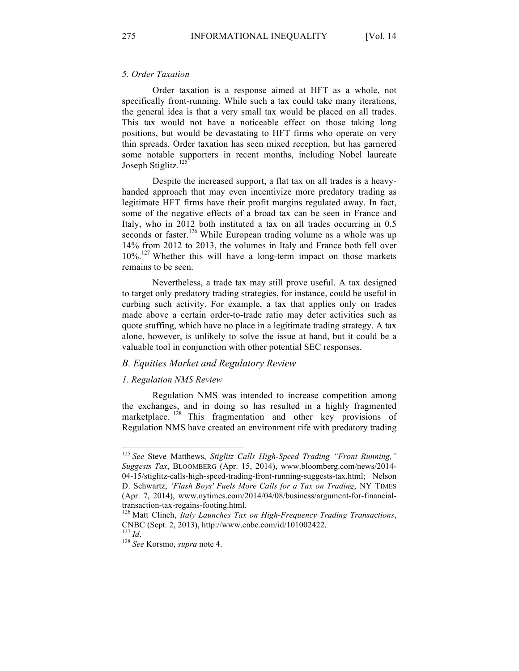# *5. Order Taxation*

Order taxation is a response aimed at HFT as a whole, not specifically front-running. While such a tax could take many iterations, the general idea is that a very small tax would be placed on all trades. This tax would not have a noticeable effect on those taking long positions, but would be devastating to HFT firms who operate on very thin spreads. Order taxation has seen mixed reception, but has garnered some notable supporters in recent months, including Nobel laureate Joseph Stiglitz.<sup>125</sup>

Despite the increased support, a flat tax on all trades is a heavyhanded approach that may even incentivize more predatory trading as legitimate HFT firms have their profit margins regulated away. In fact, some of the negative effects of a broad tax can be seen in France and Italy, who in 2012 both instituted a tax on all trades occurring in 0.5 seconds or faster.<sup>126</sup> While European trading volume as a whole was up 14% from 2012 to 2013, the volumes in Italy and France both fell over 10%.127 Whether this will have a long-term impact on those markets remains to be seen.

Nevertheless, a trade tax may still prove useful. A tax designed to target only predatory trading strategies, for instance, could be useful in curbing such activity. For example, a tax that applies only on trades made above a certain order-to-trade ratio may deter activities such as quote stuffing, which have no place in a legitimate trading strategy. A tax alone, however, is unlikely to solve the issue at hand, but it could be a valuable tool in conjunction with other potential SEC responses.

# *B. Equities Market and Regulatory Review*

#### *1. Regulation NMS Review*

Regulation NMS was intended to increase competition among the exchanges, and in doing so has resulted in a highly fragmented marketplace. <sup>128</sup> This fragmentation and other key provisions of Regulation NMS have created an environment rife with predatory trading

 <sup>125</sup> *See* Steve Matthews, *Stiglitz Calls High-Speed Trading "Front Running," Suggests Tax*, BLOOMBERG (Apr. 15, 2014), www.bloomberg.com/news/2014- 04-15/stiglitz-calls-high-speed-trading-front-running-suggests-tax.html; Nelson D. Schwartz, *'Flash Boys' Fuels More Calls for a Tax on Trading*, NY TIMES (Apr. 7, 2014), www.nytimes.com/2014/04/08/business/argument-for-financialtransaction-tax-regains-footing.html. <sup>126</sup> Matt Clinch, *Italy Launches Tax on High-Frequency Trading Transactions*,

CNBC (Sept. 2, 2013), http://www.cnbc.com/id/101002422.

<sup>&</sup>lt;sup>128</sup> *See* Korsmo, *supra* note 4.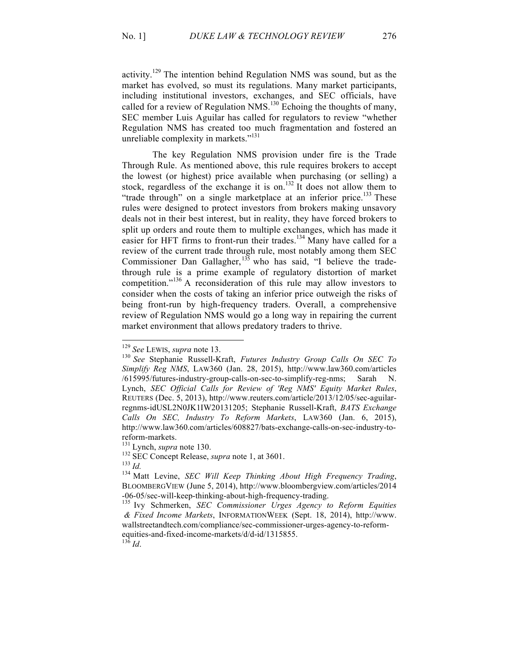activity.<sup>129</sup> The intention behind Regulation NMS was sound, but as the market has evolved, so must its regulations. Many market participants, including institutional investors, exchanges, and SEC officials, have called for a review of Regulation NMS.<sup>130</sup> Echoing the thoughts of many, SEC member Luis Aguilar has called for regulators to review "whether Regulation NMS has created too much fragmentation and fostered an unreliable complexity in markets."<sup>131</sup>

The key Regulation NMS provision under fire is the Trade Through Rule. As mentioned above, this rule requires brokers to accept the lowest (or highest) price available when purchasing (or selling) a stock, regardless of the exchange it is on.<sup>132</sup> It does not allow them to "trade through" on a single marketplace at an inferior price. $^{133}$  These rules were designed to protect investors from brokers making unsavory deals not in their best interest, but in reality, they have forced brokers to split up orders and route them to multiple exchanges, which has made it easier for HFT firms to front-run their trades.<sup>134</sup> Many have called for a review of the current trade through rule, most notably among them SEC Commissioner Dan Gallagher,  $135$  who has said, "I believe the tradethrough rule is a prime example of regulatory distortion of market competition." <sup>136</sup> A reconsideration of this rule may allow investors to consider when the costs of taking an inferior price outweigh the risks of being front-run by high-frequency traders. Overall, a comprehensive review of Regulation NMS would go a long way in repairing the current market environment that allows predatory traders to thrive.

<sup>129</sup> *See* LEWIS, *supra* note 13. <sup>130</sup> *See* Stephanie Russell-Kraft, *Futures Industry Group Calls On SEC To Simplify Reg NMS*, LAW360 (Jan. 28, 2015), http://www.law360.com/articles /615995/futures-industry-group-calls-on-sec-to-simplify-reg-nms; Sarah N. Lynch, *SEC Official Calls for Review of 'Reg NMS' Equity Market Rules*, REUTERS (Dec. 5, 2013), http://www.reuters.com/article/2013/12/05/sec-aguilarregnms-idUSL2N0JK1IW20131205; Stephanie Russell-Kraft, *BATS Exchange Calls On SEC, Industry To Reform Markets*, LAW360 (Jan. 6, 2015), http://www.law360.com/articles/608827/bats-exchange-calls-on-sec-industry-toreform-markets.<br>
<sup>131</sup> Lynch, *supra* note 130.<br>
<sup>132</sup> SEC Concept Release, *supra* note 1, at 3601.<br>
<sup>134</sup> Matt Levine, *SEC Will Keep Thinking About High Frequency Trading*,

BLOOMBERGVIEW (June 5, 2014), http://www.bloombergview.com/articles/2014 -06-05/sec-will-keep-thinking-about-high-frequency-trading. 135 Ivy Schmerken, *SEC Commissioner Urges Agency to Reform Equities*

*<sup>&</sup>amp; Fixed Income Markets*, INFORMATIONWEEK (Sept. 18, 2014), http://www. wallstreetandtech.com/compliance/sec-commissioner-urges-agency-to-reformequities-and-fixed-income-markets/d/d-id/1315855. 136 *Id*.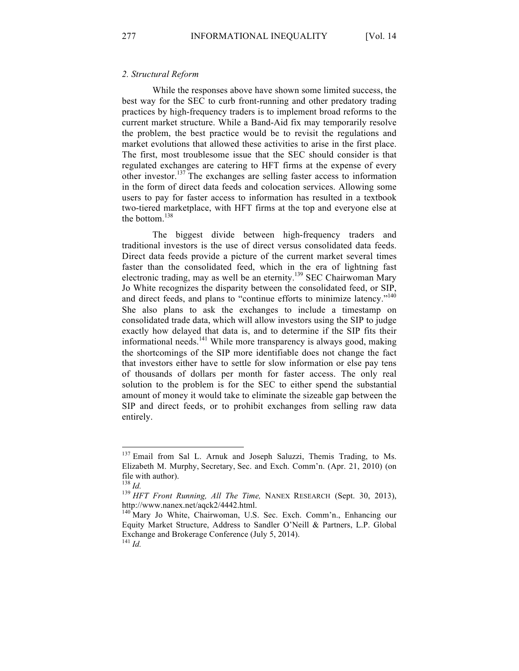### *2. Structural Reform*

While the responses above have shown some limited success, the best way for the SEC to curb front-running and other predatory trading practices by high-frequency traders is to implement broad reforms to the current market structure. While a Band-Aid fix may temporarily resolve the problem, the best practice would be to revisit the regulations and market evolutions that allowed these activities to arise in the first place. The first, most troublesome issue that the SEC should consider is that regulated exchanges are catering to HFT firms at the expense of every other investor.<sup>137</sup> The exchanges are selling faster access to information in the form of direct data feeds and colocation services. Allowing some users to pay for faster access to information has resulted in a textbook two-tiered marketplace, with HFT firms at the top and everyone else at the bottom.<sup>138</sup>

The biggest divide between high-frequency traders and traditional investors is the use of direct versus consolidated data feeds. Direct data feeds provide a picture of the current market several times faster than the consolidated feed, which in the era of lightning fast electronic trading, may as well be an eternity.139 SEC Chairwoman Mary Jo White recognizes the disparity between the consolidated feed, or SIP, and direct feeds, and plans to "continue efforts to minimize latency."<sup>140</sup> She also plans to ask the exchanges to include a timestamp on consolidated trade data, which will allow investors using the SIP to judge exactly how delayed that data is, and to determine if the SIP fits their informational needs.<sup>141</sup> While more transparency is always good, making the shortcomings of the SIP more identifiable does not change the fact that investors either have to settle for slow information or else pay tens of thousands of dollars per month for faster access. The only real solution to the problem is for the SEC to either spend the substantial amount of money it would take to eliminate the sizeable gap between the SIP and direct feeds, or to prohibit exchanges from selling raw data entirely.

<sup>&</sup>lt;sup>137</sup> Email from Sal L. Arnuk and Joseph Saluzzi, Themis Trading, to Ms. Elizabeth M. Murphy, Secretary, Sec. and Exch. Comm'n. (Apr. 21, 2010) (on file with author).<br> $^{138}$  *Id*.

<sup>&</sup>lt;sup>139</sup> *HFT Front Running, All The Time, NANEX RESEARCH (Sept. 30, 2013),* http://www.nanex.net/aqck2/4442.html.<br><sup>140</sup> Mary Jo White, Chairwoman, U.S. Sec. Exch. Comm'n., Enhancing our

Equity Market Structure, Address to Sandler O'Neill & Partners, L.P. Global Exchange and Brokerage Conference (July 5, 2014).

<sup>141</sup> *Id.*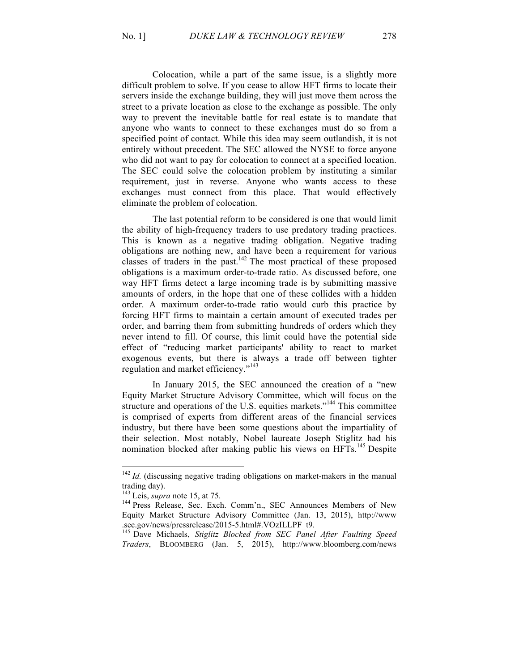Colocation, while a part of the same issue, is a slightly more difficult problem to solve. If you cease to allow HFT firms to locate their servers inside the exchange building, they will just move them across the street to a private location as close to the exchange as possible. The only way to prevent the inevitable battle for real estate is to mandate that anyone who wants to connect to these exchanges must do so from a specified point of contact. While this idea may seem outlandish, it is not entirely without precedent. The SEC allowed the NYSE to force anyone who did not want to pay for colocation to connect at a specified location. The SEC could solve the colocation problem by instituting a similar requirement, just in reverse. Anyone who wants access to these exchanges must connect from this place. That would effectively eliminate the problem of colocation.

The last potential reform to be considered is one that would limit the ability of high-frequency traders to use predatory trading practices. This is known as a negative trading obligation. Negative trading obligations are nothing new, and have been a requirement for various classes of traders in the past.<sup>142</sup> The most practical of these proposed obligations is a maximum order-to-trade ratio. As discussed before, one way HFT firms detect a large incoming trade is by submitting massive amounts of orders, in the hope that one of these collides with a hidden order. A maximum order-to-trade ratio would curb this practice by forcing HFT firms to maintain a certain amount of executed trades per order, and barring them from submitting hundreds of orders which they never intend to fill. Of course, this limit could have the potential side effect of "reducing market participants' ability to react to market exogenous events, but there is always a trade off between tighter regulation and market efficiency."<sup>143</sup>

In January 2015, the SEC announced the creation of a "new Equity Market Structure Advisory Committee, which will focus on the structure and operations of the U.S. equities markets."<sup>144</sup> This committee is comprised of experts from different areas of the financial services industry, but there have been some questions about the impartiality of their selection. Most notably, Nobel laureate Joseph Stiglitz had his nomination blocked after making public his views on HFTs.<sup>145</sup> Despite

<sup>&</sup>lt;sup>142</sup> *Id.* (discussing negative trading obligations on market-makers in the manual trading day).<br> $^{143}$  Leis, *supra* note 15, at 75.

<sup>&</sup>lt;sup>144</sup> Press Release, Sec. Exch. Comm'n., SEC Announces Members of New Equity Market Structure Advisory Committee (Jan. 13, 2015), http://www

<sup>.</sup>sec.gov/news/pressrelease/2015-5.html#.VOzILLPF\_t9. <sup>145</sup> Dave Michaels, *Stiglitz Blocked from SEC Panel After Faulting Speed Traders*, BLOOMBERG (Jan. 5, 2015), http://www.bloomberg.com/news